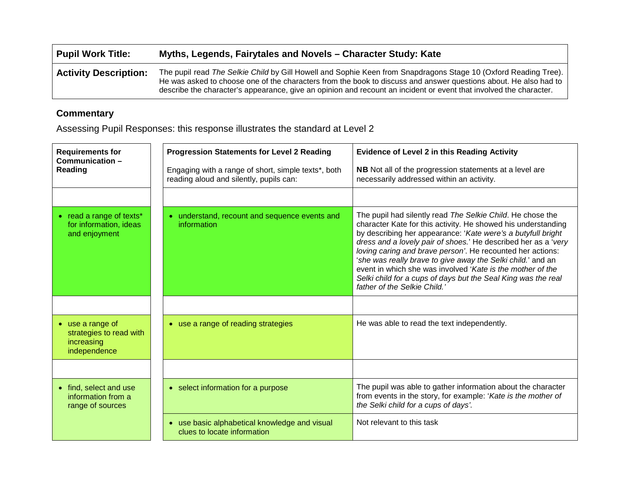| Pupil Work Title:            | Myths, Legends, Fairytales and Novels - Character Study: Kate                                                                                                                                                                                                                                                                                             |  |
|------------------------------|-----------------------------------------------------------------------------------------------------------------------------------------------------------------------------------------------------------------------------------------------------------------------------------------------------------------------------------------------------------|--|
| <b>Activity Description:</b> | The pupil read The Selkie Child by Gill Howell and Sophie Keen from Snapdragons Stage 10 (Oxford Reading Tree).<br>He was asked to choose one of the characters from the book to discuss and answer questions about. He also had to<br>describe the character's appearance, give an opinion and recount an incident or event that involved the character. |  |

## **Commentary**

Assessing Pupil Responses: this response illustrates the standard at Level 2

| <b>Requirements for</b><br>Communication-                                 | <b>Progression Statements for Level 2 Reading</b>                                              | <b>Evidence of Level 2 in this Reading Activity</b>                                                                                                                                                                                                                                                                                                                                                                                                                                                                                                      |
|---------------------------------------------------------------------------|------------------------------------------------------------------------------------------------|----------------------------------------------------------------------------------------------------------------------------------------------------------------------------------------------------------------------------------------------------------------------------------------------------------------------------------------------------------------------------------------------------------------------------------------------------------------------------------------------------------------------------------------------------------|
| Reading                                                                   | Engaging with a range of short, simple texts*, both<br>reading aloud and silently, pupils can: | NB Not all of the progression statements at a level are<br>necessarily addressed within an activity.                                                                                                                                                                                                                                                                                                                                                                                                                                                     |
|                                                                           |                                                                                                |                                                                                                                                                                                                                                                                                                                                                                                                                                                                                                                                                          |
| • read a range of texts*<br>for information, ideas<br>and enjoyment       | • understand, recount and sequence events and<br>information                                   | The pupil had silently read The Selkie Child. He chose the<br>character Kate for this activity. He showed his understanding<br>by describing her appearance: 'Kate were's a butyfull bright<br>dress and a lovely pair of shoes.' He described her as a 'very<br>loving caring and brave person'. He recounted her actions:<br>'she was really brave to give away the Selki child.' and an<br>event in which she was involved 'Kate is the mother of the<br>Selki child for a cups of days but the Seal King was the real<br>father of the Selkie Child. |
| • use a range of<br>strategies to read with<br>increasing<br>independence | • use a range of reading strategies                                                            | He was able to read the text independently.                                                                                                                                                                                                                                                                                                                                                                                                                                                                                                              |
|                                                                           |                                                                                                |                                                                                                                                                                                                                                                                                                                                                                                                                                                                                                                                                          |
| • find, select and use<br>information from a<br>range of sources          | • select information for a purpose                                                             | The pupil was able to gather information about the character<br>from events in the story, for example: 'Kate is the mother of<br>the Selki child for a cups of days'.                                                                                                                                                                                                                                                                                                                                                                                    |
|                                                                           | • use basic alphabetical knowledge and visual<br>clues to locate information                   | Not relevant to this task                                                                                                                                                                                                                                                                                                                                                                                                                                                                                                                                |